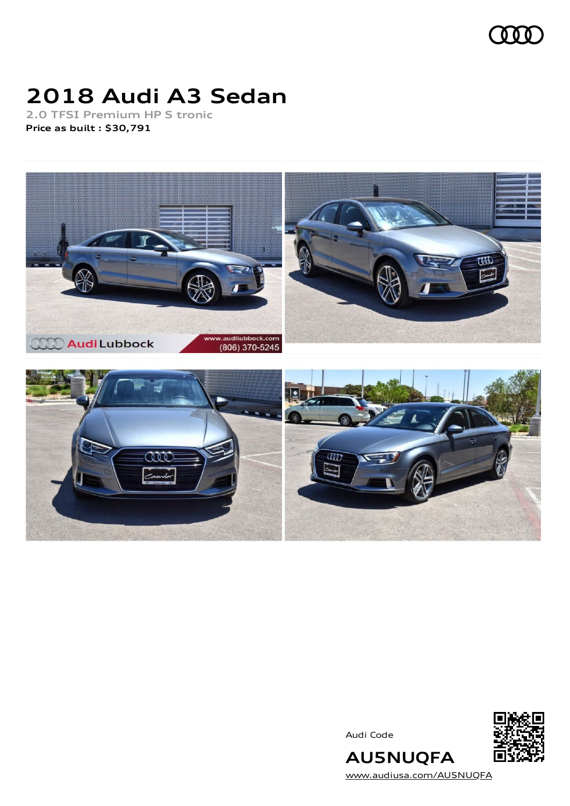

# **2018 Audi A3 Sedan**

**2.0 TFSI Premium HP S tronic Price as built [:](#page-10-0) \$30,791**



Audi Code



**AU5NUQFA** [www.audiusa.com/AU5NUQFA](https://www.audiusa.com/AU5NUQFA)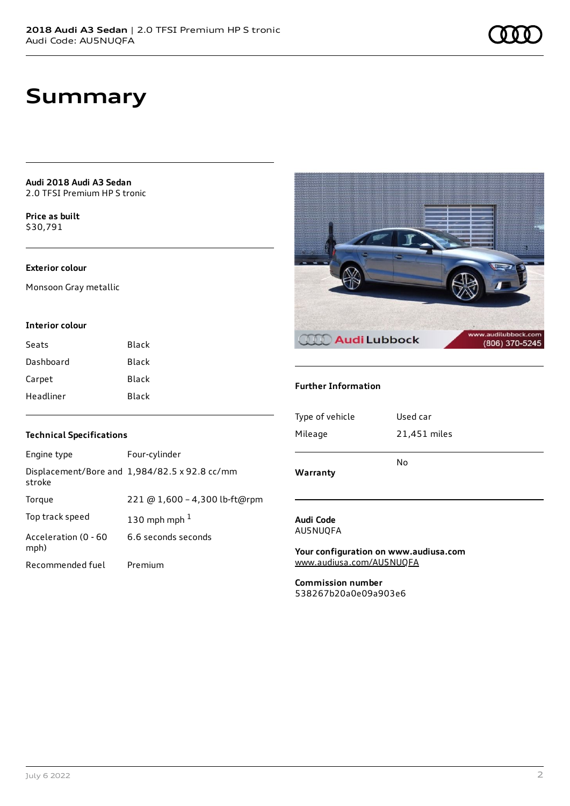**Audi 2018 Audi A3 Sedan** 2.0 TFSI Premium HP S tronic

**Price as buil[t](#page-10-0)** \$30,791

#### **Exterior colour**

Monsoon Gray metallic

#### **Interior colour**

| Seats     | Black |
|-----------|-------|
| Dashboard | Black |
| Carpet    | Black |
| Headliner | Black |



#### **Further Information**

| Type of vehicle | Used car     |
|-----------------|--------------|
| Mileage         | 21,451 miles |
|                 | No           |
| Warranty        |              |

#### **Audi Code** AU5NUQFA

**Your configuration on www.audiusa.com** [www.audiusa.com/AU5NUQFA](https://www.audiusa.com/AU5NUQFA)

**Commission number** 538267b20a0e09a903e6

#### **Technical Specifications**

| Engine type                  | Four-cylinder                                 |
|------------------------------|-----------------------------------------------|
| stroke                       | Displacement/Bore and 1,984/82.5 x 92.8 cc/mm |
| Torque                       | 221 @ 1,600 - 4,300 lb-ft@rpm                 |
| Top track speed              | 130 mph mph $1$                               |
| Acceleration (0 - 60<br>mph) | 6.6 seconds seconds                           |
| Recommended fuel             | Premium                                       |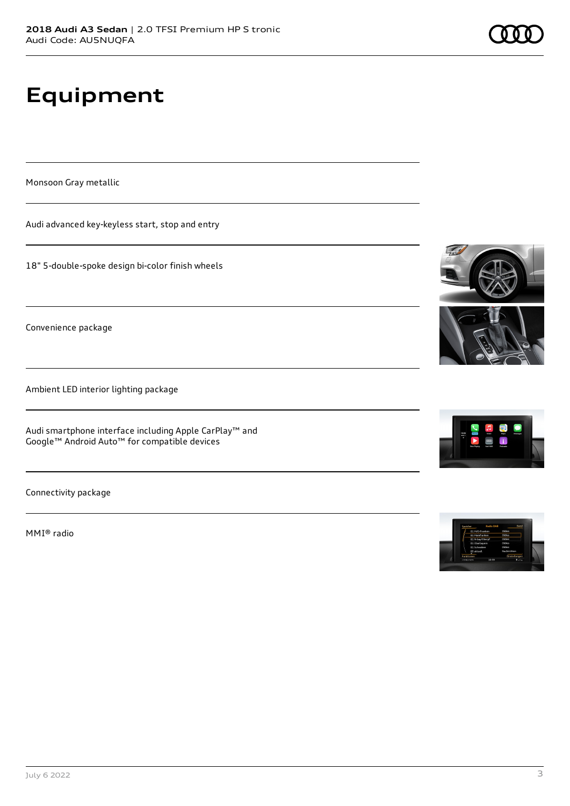# **Equipment**

Monsoon Gray metallic

Audi advanced key-keyless start, stop and entry

18" 5-double-spoke design bi-color finish wheels

Convenience package

Ambient LED interior lighting package

Audi smartphone interface including Apple CarPlay™ and Google™ Android Auto™ for compatible devices

Connectivity package

MMI® radio





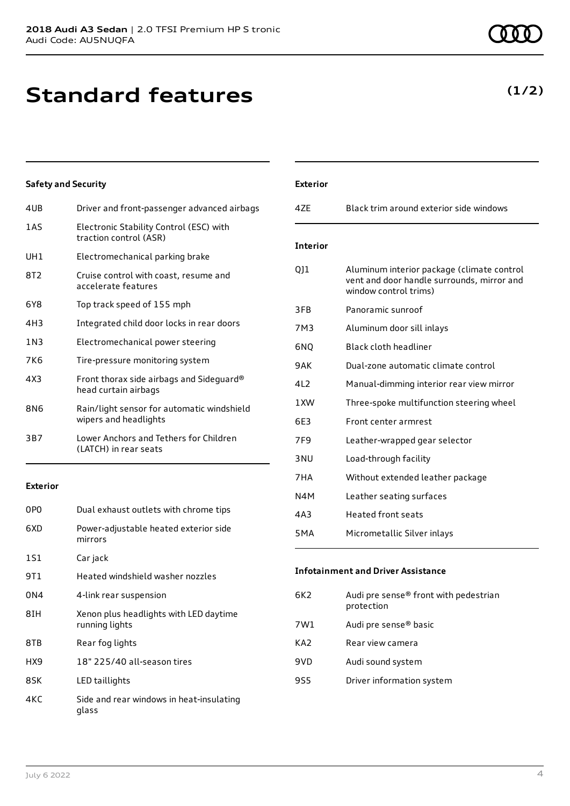# **Standard features**

### **Safety and Security**

| 4UB             | Driver and front-passenger advanced airbags                         |
|-----------------|---------------------------------------------------------------------|
| 1AS             | Electronic Stability Control (ESC) with<br>traction control (ASR)   |
| UH1             | Electromechanical parking brake                                     |
| 8T2             | Cruise control with coast, resume and<br>accelerate features        |
| 6Y8             | Top track speed of 155 mph                                          |
| 4H3             | Integrated child door locks in rear doors                           |
| 1 N 3           | Electromechanical power steering                                    |
| 7K6             | Tire-pressure monitoring system                                     |
| 4X3             | Front thorax side airbags and Sideguard®<br>head curtain airbags    |
| 8N <sub>6</sub> | Rain/light sensor for automatic windshield<br>wipers and headlights |
| 3B7             | Lower Anchors and Tethers for Children<br>(LATCH) in rear seats     |
|                 |                                                                     |

#### **Exterior**

| 0P <sub>0</sub> | Dual exhaust outlets with chrome tips                    |
|-----------------|----------------------------------------------------------|
| 6XD             | Power-adjustable heated exterior side<br>mirrors         |
| 1S1             | Car jack                                                 |
| 9T 1            | Heated windshield washer nozzles                         |
| 0N4             | 4-link rear suspension                                   |
| 8TH             | Xenon plus headlights with LED daytime<br>running lights |
| 8TB             | Rear fog lights                                          |
| HX9             | 18" 225/40 all-season tires                              |
| 8SK             | LED taillights                                           |
| 4KC             | Side and rear windows in heat-insulating<br>glass        |

| <b>Exterior</b>  |                                                                                                                   |
|------------------|-------------------------------------------------------------------------------------------------------------------|
| 47F              | Black trim around exterior side windows                                                                           |
| <b>Interior</b>  |                                                                                                                   |
| 011              | Aluminum interior package (climate control<br>vent and door handle surrounds, mirror and<br>window control trims) |
| 3FB              | Panoramic sunroof                                                                                                 |
| 7M3              | Aluminum door sill inlays                                                                                         |
| 6NQ              | Black cloth headliner                                                                                             |
| 9AK              | Dual-zone automatic climate control                                                                               |
| 412              | Manual-dimming interior rear view mirror                                                                          |
| 1 XW             | Three-spoke multifunction steering wheel                                                                          |
| 6E3              | Front center armrest                                                                                              |
| 7F <sub>9</sub>  | Leather-wrapped gear selector                                                                                     |
| 3 <sub>NU</sub>  | Load-through facility                                                                                             |
| 7HA              | Without extended leather package                                                                                  |
| N4M              | Leather seating surfaces                                                                                          |
| 4A3              | <b>Heated front seats</b>                                                                                         |
| 5 <sub>M</sub> A | Micrometallic Silver inlays                                                                                       |

#### **Infotainment and Driver Assistance**

| Audi pre sense® front with pedestrian<br>6K2<br>protection |  |
|------------------------------------------------------------|--|
| Audi pre sense <sup>®</sup> basic<br>7W1                   |  |
| KA2<br>Rear view camera                                    |  |
| 9VD<br>Audi sound system                                   |  |
| 9S5<br>Driver information system                           |  |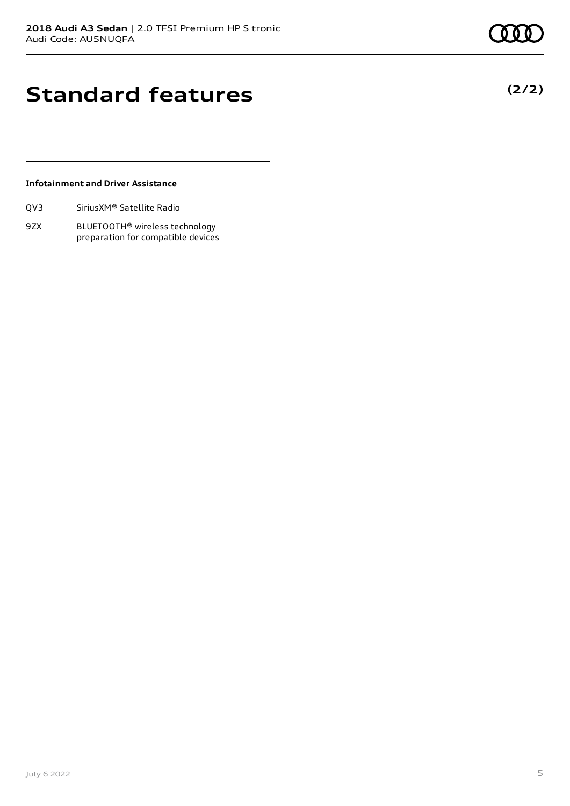**(2/2)**

# **Standard features**

#### **Infotainment and Driver Assistance**

| QV3 | Sirius XM <sup>®</sup> Satellite Radio |  |
|-----|----------------------------------------|--|
|     |                                        |  |

9ZX BLUETOOTH® wireless technology preparation for compatible devices

July 6 2022 5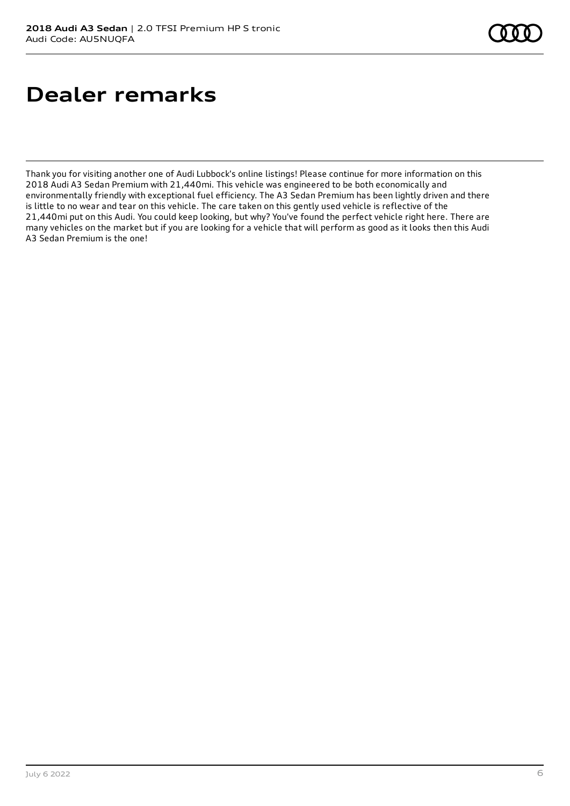# **Dealer remarks**

Thank you for visiting another one of Audi Lubbock's online listings! Please continue for more information on this 2018 Audi A3 Sedan Premium with 21,440mi. This vehicle was engineered to be both economically and environmentally friendly with exceptional fuel efficiency. The A3 Sedan Premium has been lightly driven and there is little to no wear and tear on this vehicle. The care taken on this gently used vehicle is reflective of the 21,440mi put on this Audi. You could keep looking, but why? You've found the perfect vehicle right here. There are many vehicles on the market but if you are looking for a vehicle that will perform as good as it looks then this Audi A3 Sedan Premium is the one!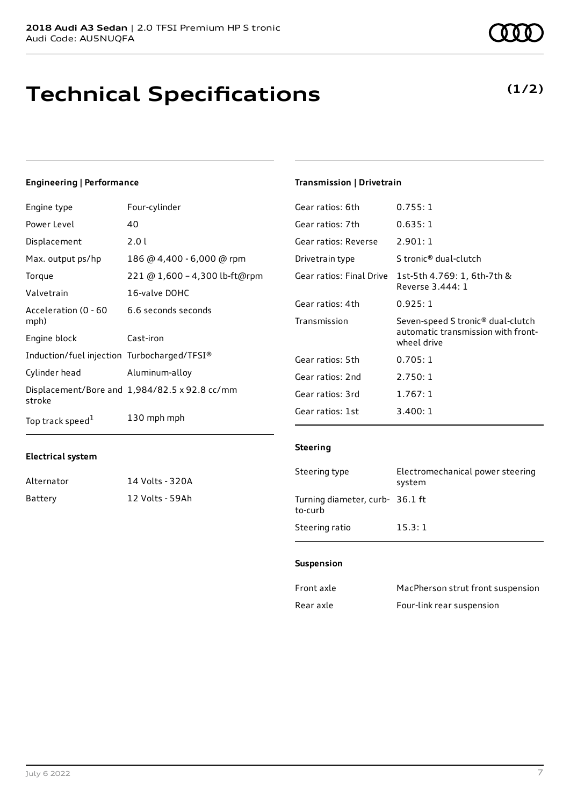# **Technical Specifications**

#### **Engineering | Performance**

| Engine type                                 | Four-cylinder                                        | Gear ratios: 6th         | 0.755:1                                   |
|---------------------------------------------|------------------------------------------------------|--------------------------|-------------------------------------------|
| Power Level                                 | 40                                                   | Gear ratios: 7th         | 0.635:1                                   |
| Displacement                                | 2.01                                                 | Gear ratios: Reverse     | 2.901:1                                   |
| Max. output ps/hp                           | 186 @ 4,400 - 6,000 @ rpm                            | Drivetrain type          | S tronic <sup>®</sup> dual-clutch         |
| Torque                                      | 221 @ 1,600 - 4,300 lb-ft@rpm                        | Gear ratios: Final Drive | 1st-5th 4.769: 1, 6th-7th 8               |
| Valvetrain                                  | 16-valve DOHC                                        |                          | Reverse 3.444: 1                          |
| Acceleration (0 - 60                        | 6.6 seconds seconds                                  | Gear ratios: 4th         | 0.925:1                                   |
| mph)                                        |                                                      | Transmission             | Seven-speed S tronic <sup>®</sup> dual    |
| Engine block                                | Cast-iron                                            |                          | automatic transmission wit<br>wheel drive |
| Induction/fuel injection Turbocharged/TFSI® |                                                      | Gear ratios: 5th         | 0.705:1                                   |
| Cylinder head                               | Aluminum-alloy                                       | Gear ratios: 2nd         | 2.750:1                                   |
| stroke                                      | Displacement/Bore and $1,984/82.5 \times 92.8$ cc/mm | Gear ratios: 3rd         | 1.767:1                                   |
| Top track speed <sup>1</sup>                | 130 mph mph                                          | Gear ratios: 1st         | 3.400:1                                   |

#### **Electrical system**

| Alternator | 14 Volts - 320A |
|------------|-----------------|
| Battery    | 12 Volts - 59Ah |

#### **Transmission | Drivetrain**

| Gear ratios: 7th     | 0.635:1                                                                                            |
|----------------------|----------------------------------------------------------------------------------------------------|
| Gear ratios: Reverse | 2.901:1                                                                                            |
| Drivetrain type      | S tronic <sup>®</sup> dual-clutch                                                                  |
|                      | Gear ratios: Final Drive 1st-5th 4.769: 1, 6th-7th &<br>Reverse 3.444: 1                           |
| Gear ratios: 4th     | 0.925:1                                                                                            |
| Transmission         | Seven-speed S tronic <sup>®</sup> dual-clutch<br>automatic transmission with front-<br>wheel drive |
| Gear ratios: 5th     | 0.705:1                                                                                            |
| Gear ratios: 2nd     | 2.750:1                                                                                            |
| Gear ratios: 3rd     | 1.767:1                                                                                            |
| Gear ratios: 1st     | 3.400:1                                                                                            |

#### **Steering**

| Steering type                              | Electromechanical power steering<br>system |
|--------------------------------------------|--------------------------------------------|
| Turning diameter, curb- 36.1 ft<br>to-curb |                                            |
| Steering ratio                             | 15.3:1                                     |

#### **Suspension**

| Front axle | MacPherson strut front suspension |
|------------|-----------------------------------|
| Rear axle  | Four-link rear suspension         |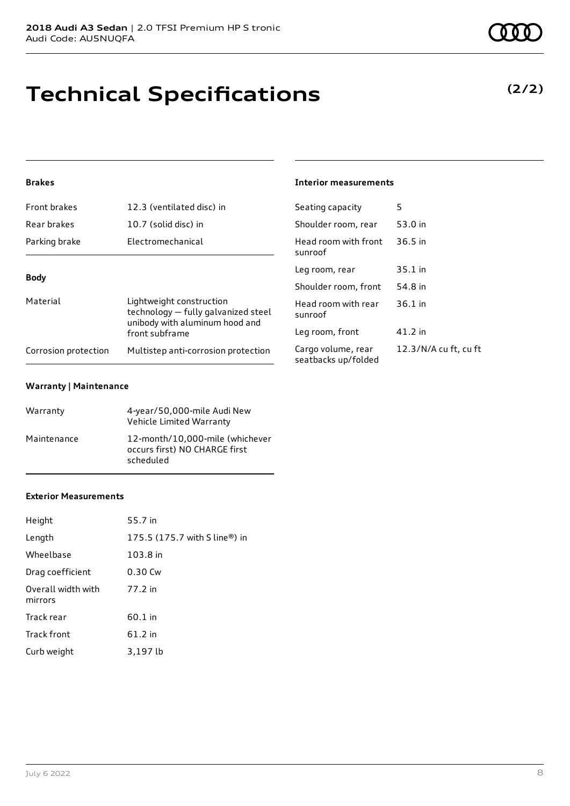# **Technical Specifications**

#### **Brakes**

| <b>Front brakes</b>                | 12.3 (ventilated disc) in                                                                         | Seating capacity<br>Shoulder room, re |  |
|------------------------------------|---------------------------------------------------------------------------------------------------|---------------------------------------|--|
| Rear brakes                        | 10.7 (solid disc) in                                                                              |                                       |  |
| Parking brake<br>Electromechanical |                                                                                                   | Head room with f<br>sunroof           |  |
|                                    |                                                                                                   | Leg room, rear                        |  |
| <b>Body</b>                        |                                                                                                   | Shoulder room, f                      |  |
| Material                           | Lightweight construction<br>technology - fully galvanized steel<br>unibody with aluminum hood and | Head room with r<br>sunroof           |  |
|                                    | front subframe                                                                                    | Leg room, front                       |  |
| Corrosion protection               | Multistep anti-corrosion protection                                                               | Cargo volume, re<br>seatbacks un/fol  |  |

#### **Warranty | Maintenance**

| Warranty    | 4-year/50,000-mile Audi New<br>Vehicle Limited Warranty                       |
|-------------|-------------------------------------------------------------------------------|
| Maintenance | 12-month/10,000-mile (whichever<br>occurs first) NO CHARGE first<br>scheduled |

#### **Exterior Measurements**

| Height                        | 55.7 in                       |
|-------------------------------|-------------------------------|
| Length                        | 175.5 (175.7 with S line®) in |
| Wheelbase                     | 103.8 in                      |
| Drag coefficient              | 0.30 Cw                       |
| Overall width with<br>mirrors | 77.2 in                       |
| Track rear                    | 60.1 in                       |
| Track front                   | $61.2$ in                     |
| Curb weight                   | 3,197 lb                      |

#### **Interior measurements**

| Seating capacity                          | 5                     |
|-------------------------------------------|-----------------------|
| Shoulder room, rear                       | 53.0 in               |
| Head room with front<br>sunroof           | $36.5$ in             |
| Leg room, rear                            | 35.1 in               |
| Shoulder room, front                      | 54.8 in               |
| Head room with rear<br>sunroof            | $36.1$ in             |
| Leg room, front                           | 41.2 in               |
| Cargo volume, rear<br>seatbacks up/folded | 12.3/N/A cu ft, cu ft |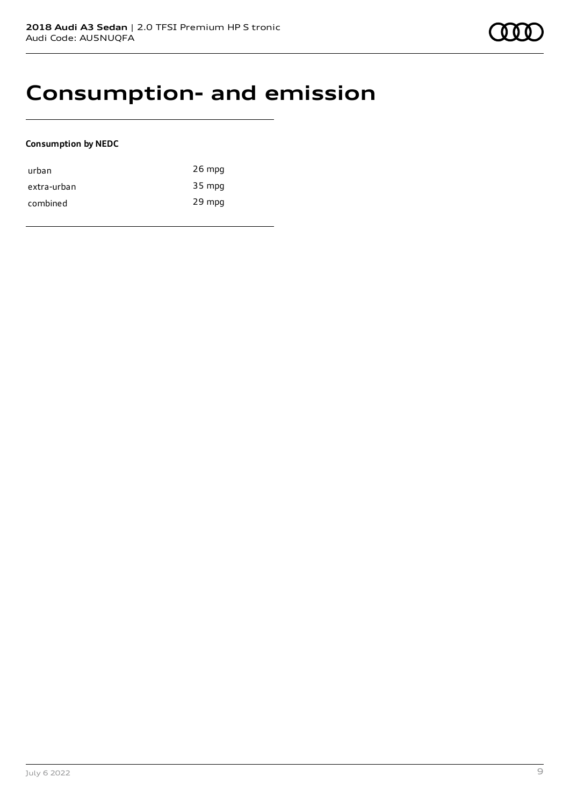### **Consumption- and emission**

#### **Consumption by NEDC**

| urban       | $26$ mpg |
|-------------|----------|
| extra-urban | 35 mpg   |
| combined    | 29 mpg   |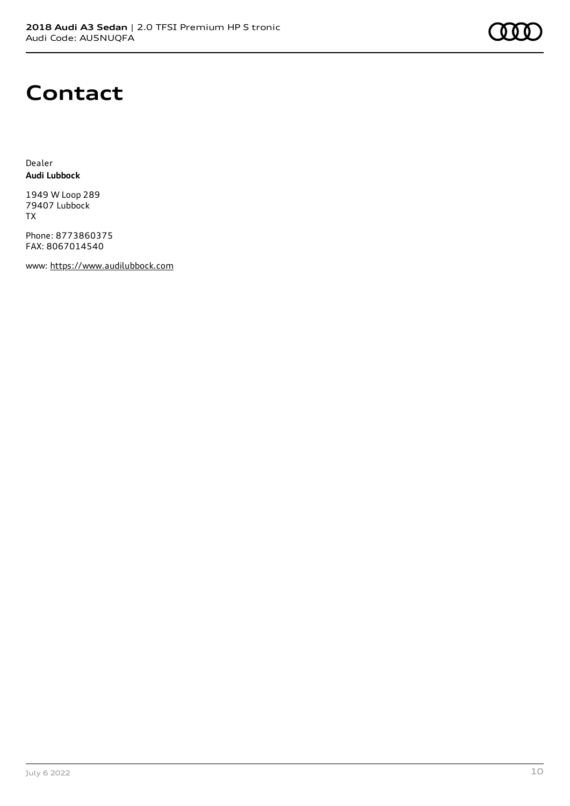### **Contact**

Dealer **Audi Lubbock**

1949 W Loop 289 79407 Lubbock TX

Phone: 8773860375 FAX: 8067014540

www: [https://www.audilubbock.com](https://www.audilubbock.com/)